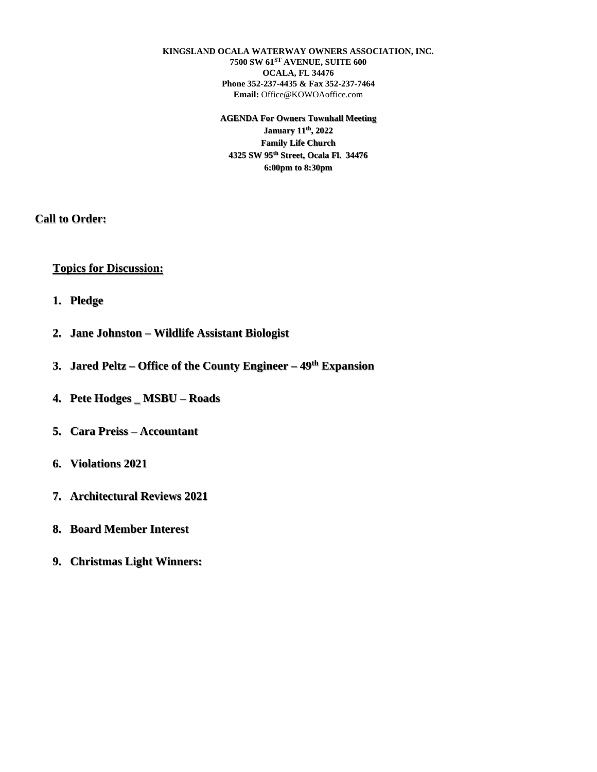**KINGSLAND OCALA WATERWAY OWNERS ASSOCIATION, INC. 7500 SW 61ST AVENUE, SUITE 600 OCALA, FL 34476 Phone 352-237-4435 & Fax 352-237-7464 Email:** Office@KOWOAoffice.com

> **AGENDA For Owners Townhall Meeting January 11th, 2022 Family Life Church 4325 SW 95th Street, Ocala Fl. 34476 6:00pm to 8:30pm**

**Call to Order:**

## **Topics for Discussion:**

- **1. Pledge**
- **2. Jane Johnston – Wildlife Assistant Biologist**
- **3. Jared Peltz – Office of the County Engineer – 49th Expansion**
- **4. Pete Hodges \_ MSBU – Roads**
- **5. Cara Preiss – Accountant**
- **6. Violations 2021**
- **7. Architectural Reviews 2021**
- **8. Board Member Interest**
- **9. Christmas Light Winners:**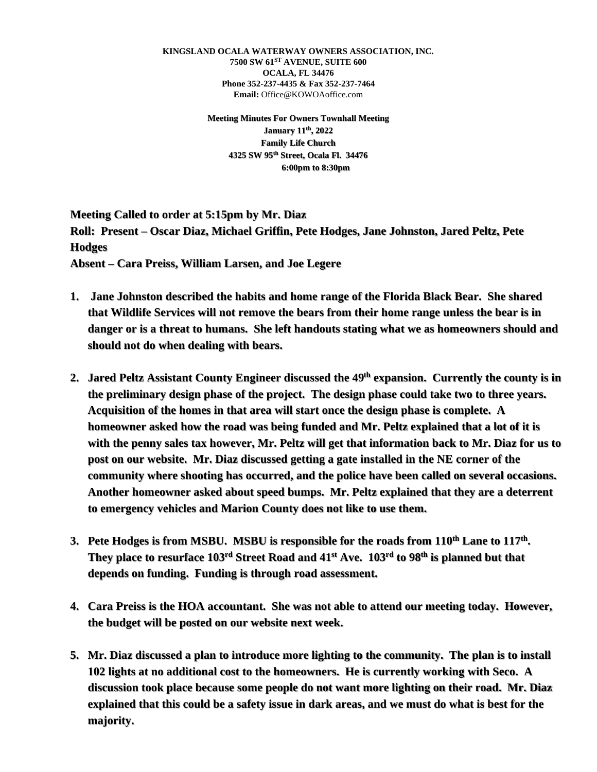**KINGSLAND OCALA WATERWAY OWNERS ASSOCIATION, INC. 7500 SW 61ST AVENUE, SUITE 600 OCALA, FL 34476 Phone 352-237-4435 & Fax 352-237-7464 Email:** Office@KOWOAoffice.com

> **Meeting Minutes For Owners Townhall Meeting January 11th, 2022 Family Life Church 4325 SW 95th Street, Ocala Fl. 34476 6:00pm to 8:30pm**

**Meeting Called to order at 5:15pm by Mr. Diaz Roll: Present – Oscar Diaz, Michael Griffin, Pete Hodges, Jane Johnston, Jared Peltz, Pete Hodges**

**Absent – Cara Preiss, William Larsen, and Joe Legere**

- **1. Jane Johnston described the habits and home range of the Florida Black Bear. She shared that Wildlife Services will not remove the bears from their home range unless the bear is in danger or is a threat to humans. She left handouts stating what we as homeowners should and should not do when dealing with bears.**
- **2. Jared Peltz Assistant County Engineer discussed the 49th expansion. Currently the county is in the preliminary design phase of the project. The design phase could take two to three years. Acquisition of the homes in that area will start once the design phase is complete. A homeowner asked how the road was being funded and Mr. Peltz explained that a lot of it is with the penny sales tax however, Mr. Peltz will get that information back to Mr. Diaz for us to post on our website. Mr. Diaz discussed getting a gate installed in the NE corner of the community where shooting has occurred, and the police have been called on several occasions. Another homeowner asked about speed bumps. Mr. Peltz explained that they are a deterrent to emergency vehicles and Marion County does not like to use them.**
- **3. Pete Hodges is from MSBU. MSBU is responsible for the roads from 110th Lane to 117th . They place to resurface 103rd Street Road and 41st Ave. 103rd to 98th is planned but that depends on funding. Funding is through road assessment.**
- **4. Cara Preiss is the HOA accountant. She was not able to attend our meeting today. However, the budget will be posted on our website next week.**
- **5. Mr. Diaz discussed a plan to introduce more lighting to the community. The plan is to install 102 lights at no additional cost to the homeowners. He is currently working with Seco. A discussion took place because some people do not want more lighting on their road. Mr. Diaz explained that this could be a safety issue in dark areas, and we must do what is best for the majority.**